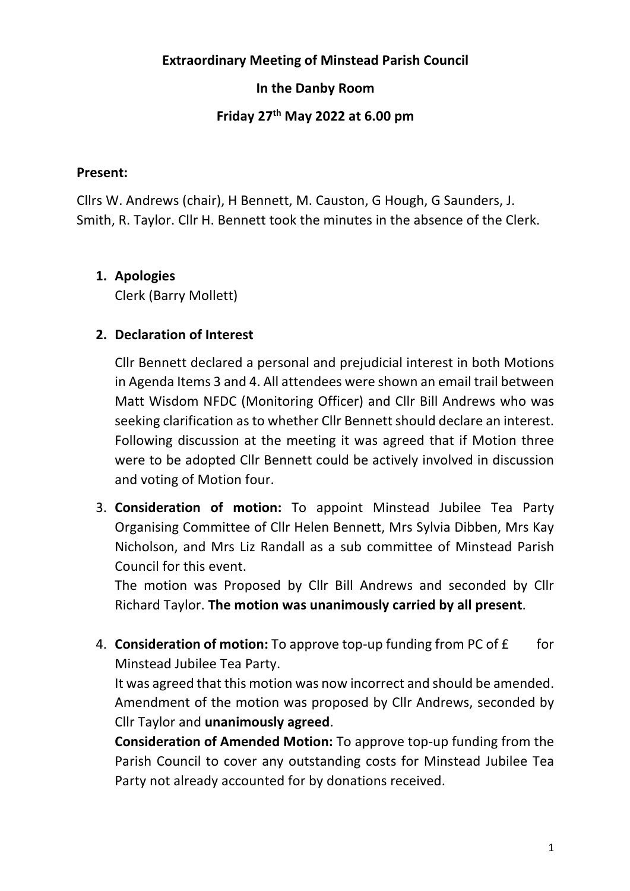#### **Extraordinary Meeting of Minstead Parish Council**

## **In the Danby Room**

# **Friday 27th May 2022 at 6.00 pm**

#### **Present:**

Cllrs W. Andrews (chair), H Bennett, M. Causton, G Hough, G Saunders, J. Smith, R. Taylor. Cllr H. Bennett took the minutes in the absence of the Clerk.

### **1. Apologies**

Clerk (Barry Mollett)

# **2. Declaration of Interest**

Cllr Bennett declared a personal and prejudicial interest in both Motions in Agenda Items 3 and 4. All attendees were shown an email trail between Matt Wisdom NFDC (Monitoring Officer) and Cllr Bill Andrews who was seeking clarification as to whether Cllr Bennett should declare an interest. Following discussion at the meeting it was agreed that if Motion three were to be adopted Cllr Bennett could be actively involved in discussion and voting of Motion four.

3. **Consideration of motion:** To appoint Minstead Jubilee Tea Party Organising Committee of Cllr Helen Bennett, Mrs Sylvia Dibben, Mrs Kay Nicholson, and Mrs Liz Randall as a sub committee of Minstead Parish Council for this event.

The motion was Proposed by Cllr Bill Andrews and seconded by Cllr Richard Taylor. **The motion was unanimously carried by all present**.

4. **Consideration of motion:** To approve top-up funding from PC of £ for Minstead Jubilee Tea Party.

It was agreed that this motion was now incorrect and should be amended. Amendment of the motion was proposed by Cllr Andrews, seconded by Cllr Taylor and **unanimously agreed**.

**Consideration of Amended Motion:** To approve top-up funding from the Parish Council to cover any outstanding costs for Minstead Jubilee Tea Party not already accounted for by donations received.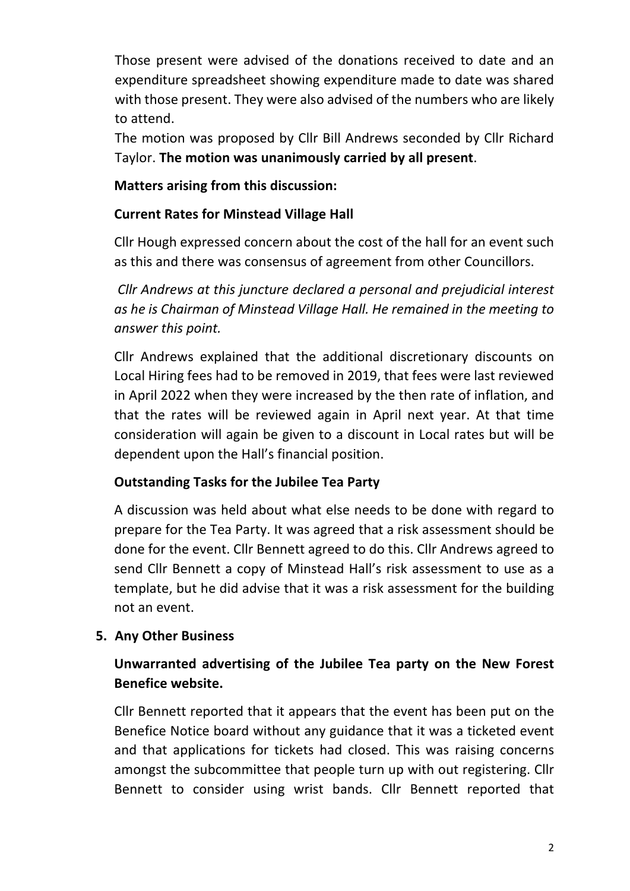Those present were advised of the donations received to date and an expenditure spreadsheet showing expenditure made to date was shared with those present. They were also advised of the numbers who are likely to attend.

The motion was proposed by Cllr Bill Andrews seconded by Cllr Richard Taylor. **The motion was unanimously carried by all present**.

### **Matters arising from this discussion:**

## **Current Rates for Minstead Village Hall**

Cllr Hough expressed concern about the cost of the hall for an event such as this and there was consensus of agreement from other Councillors.

*Cllr Andrews at this juncture declared a personal and prejudicial interest as he is Chairman of Minstead Village Hall. He remained in the meeting to answer this point.*

Cllr Andrews explained that the additional discretionary discounts on Local Hiring fees had to be removed in 2019, that fees were last reviewed in April 2022 when they were increased by the then rate of inflation, and that the rates will be reviewed again in April next year. At that time consideration will again be given to a discount in Local rates but will be dependent upon the Hall's financial position.

# **Outstanding Tasks for the Jubilee Tea Party**

A discussion was held about what else needs to be done with regard to prepare for the Tea Party. It was agreed that a risk assessment should be done for the event. Cllr Bennett agreed to do this. Cllr Andrews agreed to send Cllr Bennett a copy of Minstead Hall's risk assessment to use as a template, but he did advise that it was a risk assessment for the building not an event.

#### **5. Any Other Business**

# **Unwarranted advertising of the Jubilee Tea party on the New Forest Benefice website.**

Cllr Bennett reported that it appears that the event has been put on the Benefice Notice board without any guidance that it was a ticketed event and that applications for tickets had closed. This was raising concerns amongst the subcommittee that people turn up with out registering. Cllr Bennett to consider using wrist bands. Cllr Bennett reported that